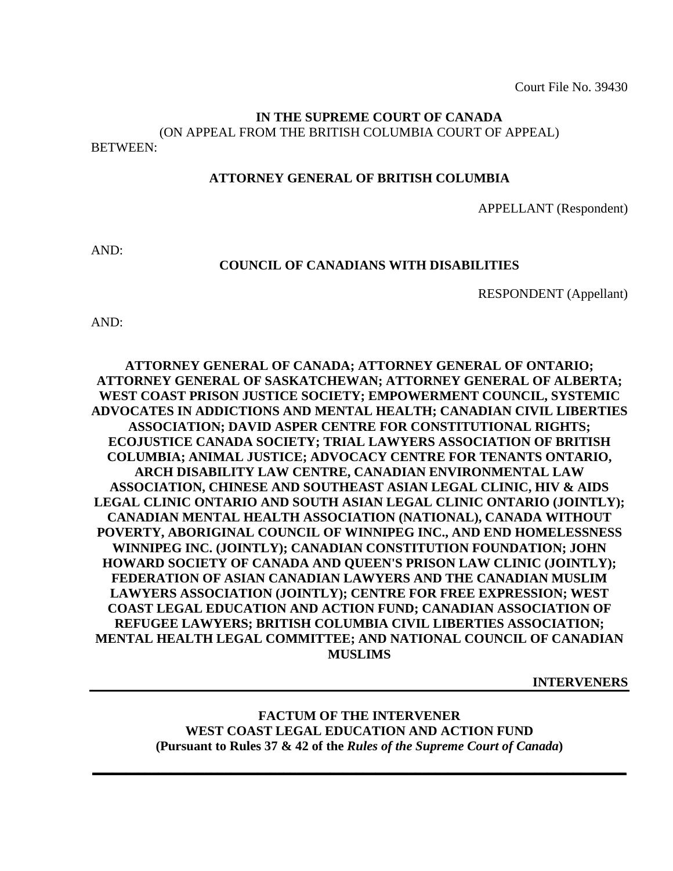Court File No. 39430

# **IN THE SUPREME COURT OF CANADA**  (ON APPEAL FROM THE BRITISH COLUMBIA COURT OF APPEAL)

BETWEEN:

## **ATTORNEY GENERAL OF BRITISH COLUMBIA**

APPELLANT (Respondent)

AND:

#### **COUNCIL OF CANADIANS WITH DISABILITIES**

RESPONDENT (Appellant)

AND:

# **ATTORNEY GENERAL OF CANADA; ATTORNEY GENERAL OF ONTARIO; ATTORNEY GENERAL OF SASKATCHEWAN; ATTORNEY GENERAL OF ALBERTA; WEST COAST PRISON JUSTICE SOCIETY; EMPOWERMENT COUNCIL, SYSTEMIC ADVOCATES IN ADDICTIONS AND MENTAL HEALTH; CANADIAN CIVIL LIBERTIES ASSOCIATION; DAVID ASPER CENTRE FOR CONSTITUTIONAL RIGHTS; ECOJUSTICE CANADA SOCIETY; TRIAL LAWYERS ASSOCIATION OF BRITISH COLUMBIA; ANIMAL JUSTICE; ADVOCACY CENTRE FOR TENANTS ONTARIO, ARCH DISABILITY LAW CENTRE, CANADIAN ENVIRONMENTAL LAW ASSOCIATION, CHINESE AND SOUTHEAST ASIAN LEGAL CLINIC, HIV & AIDS LEGAL CLINIC ONTARIO AND SOUTH ASIAN LEGAL CLINIC ONTARIO (JOINTLY); CANADIAN MENTAL HEALTH ASSOCIATION (NATIONAL), CANADA WITHOUT POVERTY, ABORIGINAL COUNCIL OF WINNIPEG INC., AND END HOMELESSNESS WINNIPEG INC. (JOINTLY); CANADIAN CONSTITUTION FOUNDATION; JOHN HOWARD SOCIETY OF CANADA AND QUEEN'S PRISON LAW CLINIC (JOINTLY); FEDERATION OF ASIAN CANADIAN LAWYERS AND THE CANADIAN MUSLIM LAWYERS ASSOCIATION (JOINTLY); CENTRE FOR FREE EXPRESSION; WEST COAST LEGAL EDUCATION AND ACTION FUND; CANADIAN ASSOCIATION OF REFUGEE LAWYERS; BRITISH COLUMBIA CIVIL LIBERTIES ASSOCIATION; MENTAL HEALTH LEGAL COMMITTEE; AND NATIONAL COUNCIL OF CANADIAN MUSLIMS**

**INTERVENERS**

**FACTUM OF THE INTERVENER WEST COAST LEGAL EDUCATION AND ACTION FUND (Pursuant to Rules 37 & 42 of the** *Rules of the Supreme Court of Canada***)** 

**\_\_\_\_\_\_\_\_\_\_\_\_\_\_\_\_\_\_\_\_\_\_\_\_\_\_\_\_\_\_\_\_\_\_\_\_\_\_\_\_\_\_\_\_\_\_\_\_\_\_\_\_\_\_\_\_\_\_\_\_\_\_\_\_\_\_\_\_\_\_\_\_\_\_\_\_\_\_\_\_\_**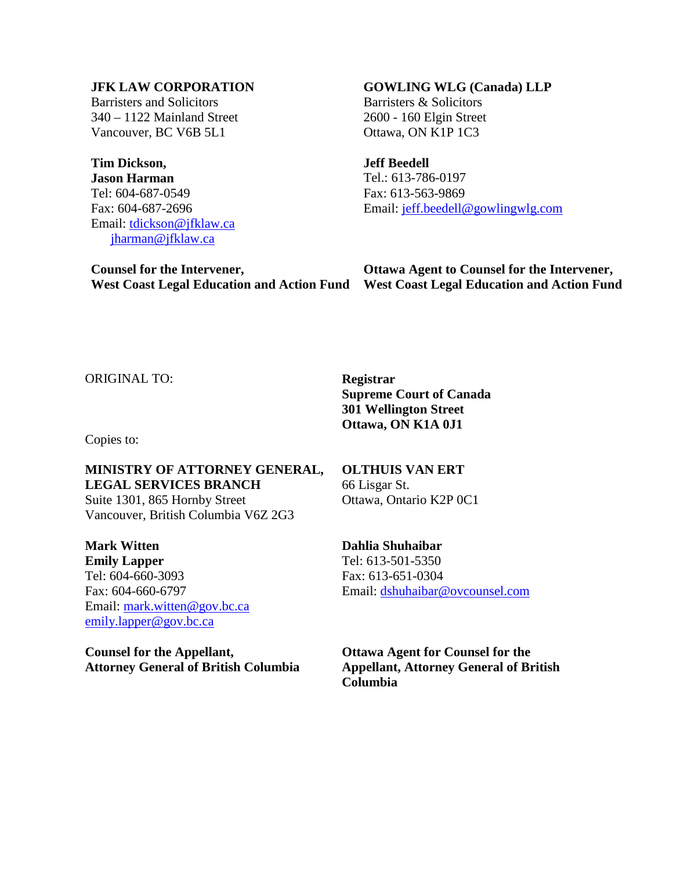## **JFK LAW CORPORATION**

Barristers and Solicitors 340 – 1122 Mainland Street Vancouver, BC V6B 5L1

**Tim Dickson, Jason Harman**  Tel: 604-687-0549 Fax: 604-687-2696 Email: [tdickson@jfklaw.ca](mailto:tdickson@jfklaw.ca) [jharman@jfklaw.ca](mailto:jharman@jfklaw.ca)

**Counsel for the Intervener,** 

#### **GOWLING WLG (Canada) LLP**

Barristers & Solicitors 2600 - 160 Elgin Street Ottawa, ON K1P 1C3

**Jeff Beedell** 

Tel.: 613-786-0197 Fax: 613-563-9869 Email: [jeff.beedell@gowlingwlg.com](mailto:jeff.beedell@gowlingwlg.com)

**West Coast Legal Education and Action Fund West Coast Legal Education and Action Fund Ottawa Agent to Counsel for the Intervener,** 

ORIGINAL TO: **Registrar** 

Copies to:

**MINISTRY OF ATTORNEY GENERAL, LEGAL SERVICES BRANCH**  Suite 1301, 865 Hornby Street

Vancouver, British Columbia V6Z 2G3

**Mark Witten Emily Lapper**  Tel: 604-660-3093 Fax: 604-660-6797 Email: mark.witten@gov.bc.ca emily.lapper@gov.bc.ca

**Counsel for the Appellant, Attorney General of British Columbia**  **Supreme Court of Canada 301 Wellington Street Ottawa, ON K1A 0J1** 

**OLTHUIS VAN ERT**  66 Lisgar St. Ottawa, Ontario K2P 0C1

**Dahlia Shuhaibar**  Tel: 613-501-5350 Fax: 613-651-0304 Email: [dshuhaibar@ovcounsel.com](mailto:dshuhaibar@ovcounsel.com) 

**Ottawa Agent for Counsel for the Appellant, Attorney General of British Columbia**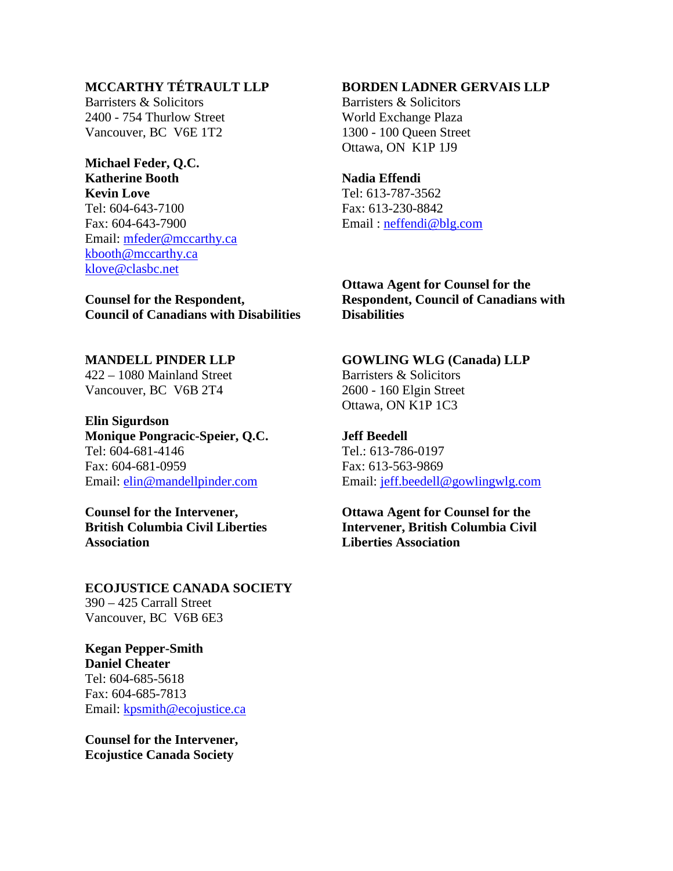# **MCCARTHY TÉTRAULT LLP**

Barristers & Solicitors 2400 - 754 Thurlow Street Vancouver, BC V6E 1T2

## **Michael Feder, Q.C. Katherine Booth Kevin Love**

Tel: 604-643-7100 Fax: 604-643-7900 Email: [mfeder@mccarthy.ca](mailto:mfeder@mccarthy.ca) [kbooth@mccarthy.ca](mailto:kbooth@mccarthy.ca) [klove@clasbc.net](mailto:klove@clasbc.net)

**Counsel for the Respondent, Council of Canadians with Disabilities** 

**MANDELL PINDER LLP**  422 – 1080 Mainland Street Vancouver, BC V6B 2T4

**Elin Sigurdson Monique Pongracic-Speier, Q.C.**  Tel: 604-681-4146 Fax: 604-681-0959 Email: [elin@mandellpinder.com](mailto:elin@mandellpinder.com)

**Counsel for the Intervener, British Columbia Civil Liberties Association**

**ECOJUSTICE CANADA SOCIETY**  390 – 425 Carrall Street Vancouver, BC V6B 6E3

**Kegan Pepper-Smith Daniel Cheater**  Tel: 604-685-5618 Fax: 604-685-7813 Email: [kpsmith@ecojustice.ca](mailto:kpsmith@ecojustice.ca)

**Counsel for the Intervener, Ecojustice Canada Society**

## **BORDEN LADNER GERVAIS LLP**

Barristers & Solicitors World Exchange Plaza 1300 - 100 Queen Street Ottawa, ON K1P 1J9

#### **Nadia Effendi**

Tel: 613-787-3562 Fax: 613-230-8842 Email : [neffendi@blg.com](mailto:neffendi@blg.com)

**Ottawa Agent for Counsel for the Respondent, Council of Canadians with Disabilities** 

**GOWLING WLG (Canada) LLP**  Barristers & Solicitors

2600 - 160 Elgin Street Ottawa, ON K1P 1C3

**Jeff Beedell**  Tel.: 613-786-0197 Fax: 613-563-9869 Email: [jeff.beedell@gowlingwlg.com](mailto:jeff.beedell@gowlingwlg.com)

**Ottawa Agent for Counsel for the Intervener, British Columbia Civil Liberties Association**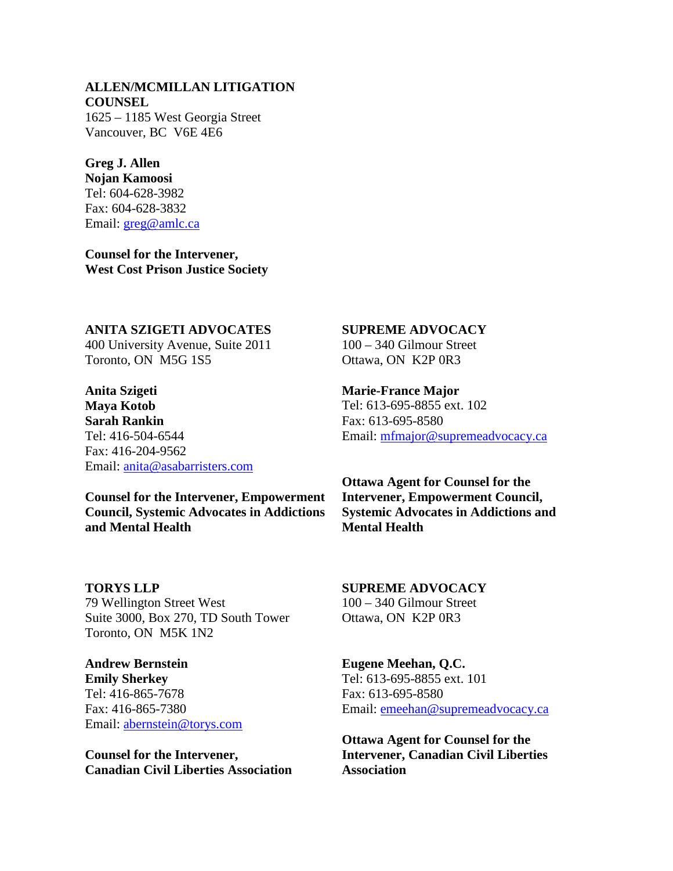# **ALLEN/MCMILLAN LITIGATION COUNSEL**

1625 – 1185 West Georgia Street Vancouver, BC V6E 4E6

# **Greg J. Allen**

**Nojan Kamoosi**  Tel: 604-628-3982 Fax: 604-628-3832 Email: [greg@amlc.ca](mailto:greg@amlc.ca)

**Counsel for the Intervener, West Cost Prison Justice Society** 

#### **ANITA SZIGETI ADVOCATES**

400 University Avenue, Suite 2011 Toronto, ON M5G 1S5

**Anita Szigeti Maya Kotob Sarah Rankin**  Tel: 416-504-6544 Fax: 416-204-9562 Email: [anita@asabarristers.com](mailto:anita@asabarristers.com)

**Counsel for the Intervener, Empowerment Council, Systemic Advocates in Addictions and Mental Health** 

**TORYS LLP**  79 Wellington Street West Suite 3000, Box 270, TD South Tower Toronto, ON M5K 1N2

**Andrew Bernstein Emily Sherkey**  Tel: 416-865-7678 Fax: 416-865-7380 Email: [abernstein@torys.com](mailto:abernstein@torys.com)

**Counsel for the Intervener, Canadian Civil Liberties Association**

## **SUPREME ADVOCACY**

100 – 340 Gilmour Street Ottawa, ON K2P 0R3

#### **Marie-France Major**

Tel: 613-695-8855 ext. 102 Fax: 613-695-8580 Email: [mfmajor@supremeadvocacy.ca](mailto:mfmajor@supremeadvocacy.ca)

**Ottawa Agent for Counsel for the Intervener, Empowerment Council, Systemic Advocates in Addictions and Mental Health** 

**SUPREME ADVOCACY**  100 – 340 Gilmour Street Ottawa, ON K2P 0R3

**Eugene Meehan, Q.C.**  Tel: 613-695-8855 ext. 101 Fax: 613-695-8580 Email: [emeehan@supremeadvocacy.ca](mailto:emeehan@supremeadvocacy.ca)

**Ottawa Agent for Counsel for the Intervener, Canadian Civil Liberties Association**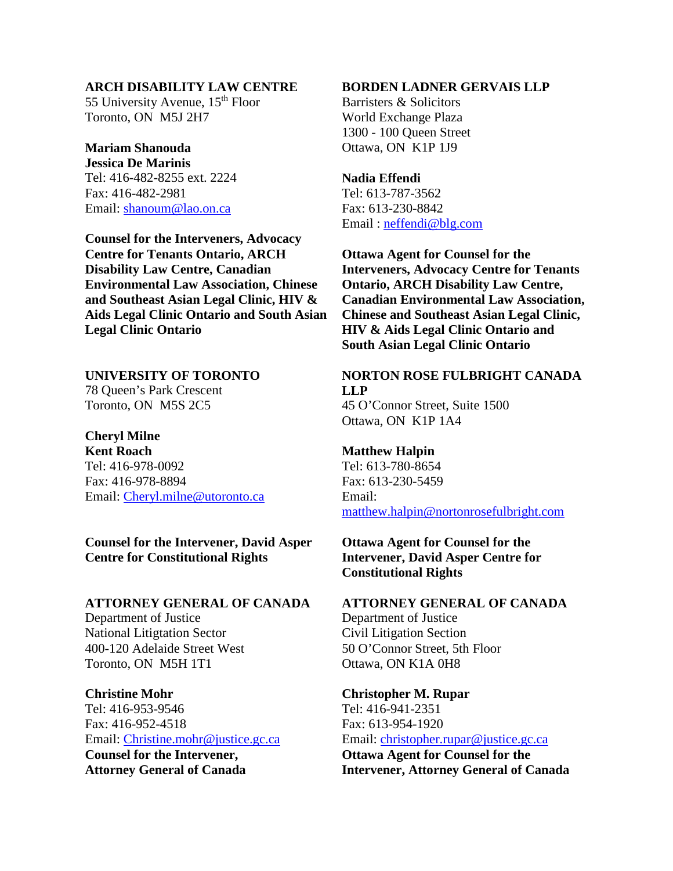### **ARCH DISABILITY LAW CENTRE**

55 University Avenue, 15<sup>th</sup> Floor Toronto, ON M5J 2H7

## **Mariam Shanouda**

**Jessica De Marinis**  Tel: 416-482-8255 ext. 2224 Fax: 416-482-2981 Email: [shanoum@lao.on.ca](mailto:shanoum@lao.on.ca)

**Counsel for the Interveners, Advocacy Centre for Tenants Ontario, ARCH Disability Law Centre, Canadian Environmental Law Association, Chinese and Southeast Asian Legal Clinic, HIV & Aids Legal Clinic Ontario and South Asian Legal Clinic Ontario** 

**UNIVERSITY OF TORONTO**  78 Queen's Park Crescent Toronto, ON M5S 2C5

**Cheryl Milne Kent Roach**  Tel: 416-978-0092 Fax: 416-978-8894 Email: [Cheryl.milne@utoronto.ca](mailto:Cheryl.milne@utoronto.ca)

## **Counsel for the Intervener, David Asper Centre for Constitutional Rights**

#### **ATTORNEY GENERAL OF CANADA**

Department of Justice National Litigtation Sector 400-120 Adelaide Street West Toronto, ON M5H 1T1

**Christine Mohr**  Tel: 416-953-9546 Fax: 416-952-4518 Email: [Christine.mohr@justice.gc.ca](mailto:Christine.mohr@justice.gc.ca) **Counsel for the Intervener, Attorney General of Canada** 

#### **BORDEN LADNER GERVAIS LLP**

Barristers & Solicitors World Exchange Plaza 1300 - 100 Queen Street Ottawa, ON K1P 1J9

#### **Nadia Effendi**

Tel: 613-787-3562 Fax: 613-230-8842 Email : [neffendi@blg.com](mailto:neffendi@blg.com)

**Ottawa Agent for Counsel for the Interveners, Advocacy Centre for Tenants Ontario, ARCH Disability Law Centre, Canadian Environmental Law Association, Chinese and Southeast Asian Legal Clinic, HIV & Aids Legal Clinic Ontario and South Asian Legal Clinic Ontario** 

# **NORTON ROSE FULBRIGHT CANADA LLP**

45 O'Connor Street, Suite 1500 Ottawa, ON K1P 1A4

#### **Matthew Halpin**

Tel: 613-780-8654 Fax: 613-230-5459 Email: [matthew.halpin@nortonrosefulbright.com](mailto:matthew.halpin@nortonrosefulbright.com)

## **Ottawa Agent for Counsel for the Intervener, David Asper Centre for Constitutional Rights**

## **ATTORNEY GENERAL OF CANADA**

Department of Justice Civil Litigation Section 50 O'Connor Street, 5th Floor Ottawa, ON K1A 0H8

## **Christopher M. Rupar**  Tel: 416-941-2351 Fax: 613-954-1920 Email: [christopher.rupar@justice.gc.ca](mailto:christopher.rupar@justice.gc.ca)  **Ottawa Agent for Counsel for the Intervener, Attorney General of Canada**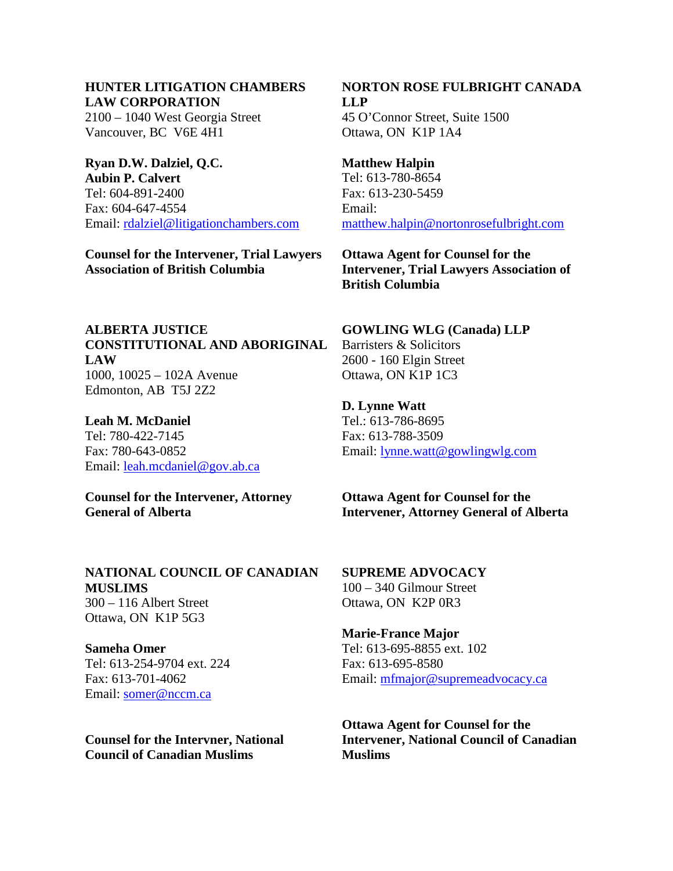# **HUNTER LITIGATION CHAMBERS LAW CORPORATION**

2100 – 1040 West Georgia Street Vancouver, BC V6E 4H1

## **Ryan D.W. Dalziel, Q.C. Aubin P. Calvert**  Tel: 604-891-2400 Fax: 604-647-4554 Email: [rdalziel@litigationchambers.com](mailto:rdalziel@litigationchambers.com)

**Counsel for the Intervener, Trial Lawyers Association of British Columbia** 

## **NORTON ROSE FULBRIGHT CANADA LLP**  45 O'Connor Street, Suite 1500 Ottawa, ON K1P 1A4

**Matthew Halpin**  Tel: 613-780-8654 Fax: 613-230-5459 Email: [matthew.halpin@nortonrosefulbright.com](mailto:matthew.halpin@nortonrosefulbright.com)

**Ottawa Agent for Counsel for the Intervener, Trial Lawyers Association of British Columbia** 

# **ALBERTA JUSTICE CONSTITUTIONAL AND ABORIGINAL LAW**  1000, 10025 – 102A Avenue Edmonton, AB T5J 2Z2

**Leah M. McDaniel**  Tel: 780-422-7145 Fax: 780-643-0852 Email: [leah.mcdaniel@gov.ab.ca](mailto:leah.mcdaniel@gov.ab.ca)

## **Counsel for the Intervener, Attorney General of Alberta**

## **NATIONAL COUNCIL OF CANADIAN MUSLIMS**  300 – 116 Albert Street Ottawa, ON K1P 5G3

**Sameha Omer**  Tel: 613-254-9704 ext. 224 Fax: 613-701-4062 Email: [somer@nccm.ca](mailto:somer@nccm.ca)

**Counsel for the Intervner, National Council of Canadian Muslims** 

# **GOWLING WLG (Canada) LLP**

Barristers & Solicitors 2600 - 160 Elgin Street Ottawa, ON K1P 1C3

## **D. Lynne Watt**

Tel.: 613-786-8695 Fax: 613-788-3509 Email: [lynne.watt@gowlingwlg.com](mailto:lynne.watt@gowlingwlg.com)

**Ottawa Agent for Counsel for the Intervener, Attorney General of Alberta** 

**SUPREME ADVOCACY**  100 – 340 Gilmour Street Ottawa, ON K2P 0R3

# **Marie-France Major**  Tel: 613-695-8855 ext. 102 Fax: 613-695-8580 Email: [mfmajor@supremeadvocacy.ca](mailto:mfmajor@supremeadvocacy.ca)

**Ottawa Agent for Counsel for the Intervener, National Council of Canadian Muslims**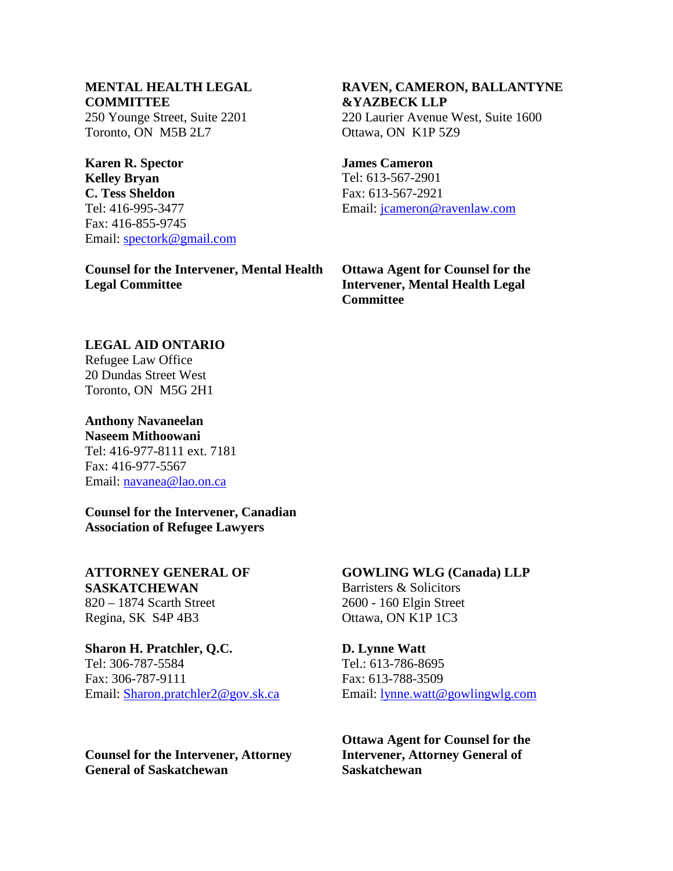# **MENTAL HEALTH LEGAL COMMITTEE**

250 Younge Street, Suite 2201 Toronto, ON M5B 2L7

**Karen R. Spector Kelley Bryan C. Tess Sheldon**  Tel: 416-995-3477 Fax: 416-855-9745 Email: [spectork@gmail.com](mailto:spectork@gmail.com)

**Counsel for the Intervener, Mental Health Legal Committee** 

## **RAVEN, CAMERON, BALLANTYNE &YAZBECK LLP**  220 Laurier Avenue West, Suite 1600 Ottawa, ON K1P 5Z9

#### **James Cameron**  Tel: 613-567-2901

Fax: 613-567-2921 Email: [jcameron@ravenlaw.com](mailto:jcameron@ravenlaw.com)

**Ottawa Agent for Counsel for the Intervener, Mental Health Legal Committee** 

## **LEGAL AID ONTARIO**

Refugee Law Office 20 Dundas Street West Toronto, ON M5G 2H1

**Anthony Navaneelan Naseem Mithoowani**  Tel: 416-977-8111 ext. 7181 Fax: 416-977-5567 Email: [navanea@lao.on.ca](mailto:navanea@lao.on.ca)

**Counsel for the Intervener, Canadian Association of Refugee Lawyers** 

**ATTORNEY GENERAL OF SASKATCHEWAN**  820 – 1874 Scarth Street Regina, SK S4P 4B3

# **Sharon H. Pratchler, Q.C.**

Tel: 306-787-5584 Fax: 306-787-9111 Email: [Sharon.pratchler2@gov.sk.ca](mailto:Sharon.pratchler2@gov.sk.ca)

**Counsel for the Intervener, Attorney General of Saskatchewan** 

# **GOWLING WLG (Canada) LLP**  Barristers & Solicitors 2600 - 160 Elgin Street

Ottawa, ON K1P 1C3

**D. Lynne Watt**  Tel.: 613-786-8695 Fax: 613-788-3509 Email: [lynne.watt@gowlingwlg.com](mailto:lynne.watt@gowlingwlg.com)

**Ottawa Agent for Counsel for the Intervener, Attorney General of Saskatchewan**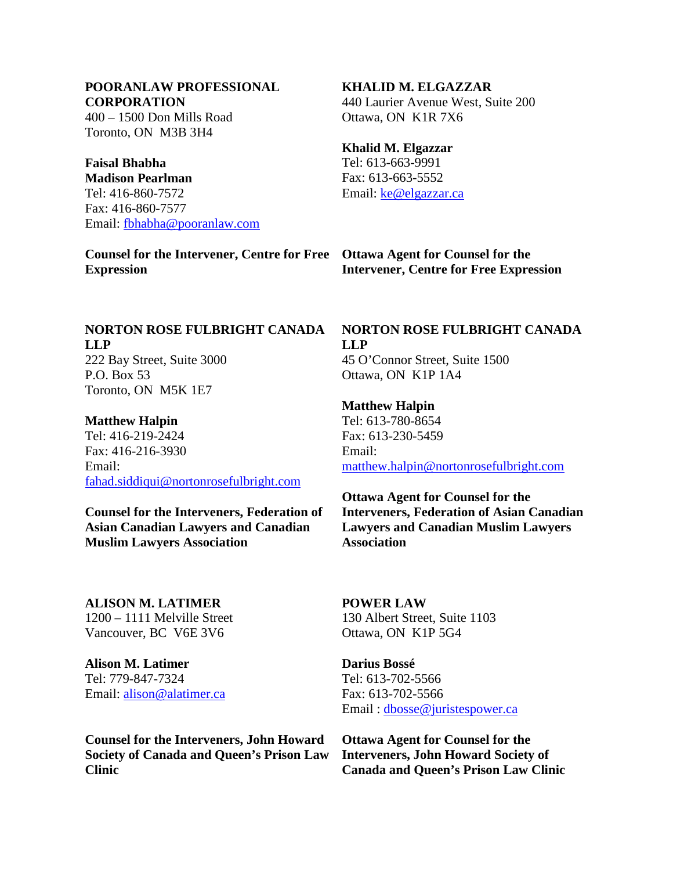## **POORANLAW PROFESSIONAL CORPORATION**

400 – 1500 Don Mills Road Toronto, ON M3B 3H4

# **Faisal Bhabha**

**Madison Pearlman**  Tel: 416-860-7572 Fax: 416-860-7577 Email: [fbhabha@pooranlaw.com](mailto:fbhabha@pooranlaw.com)

**Counsel for the Intervener, Centre for Free Ottawa Agent for Counsel for the Expression** 

## **KHALID M. ELGAZZAR**

440 Laurier Avenue West, Suite 200 Ottawa, ON K1R 7X6

## **Khalid M. Elgazzar**

Tel: 613-663-9991 Fax: 613-663-5552 Email: [ke@elgazzar.ca](mailto:ke@elgazzar.ca)

# **Intervener, Centre for Free Expression**

## **NORTON ROSE FULBRIGHT CANADA LLP**  222 Bay Street, Suite 3000

P.O. Box 53 Toronto, ON M5K 1E7

## **Matthew Halpin**

Tel: 416-219-2424 Fax: 416-216-3930 Email: [fahad.siddiqui@nortonrosefulbright.com](mailto:fahad.siddiqui@nortonrosefulbright.com)

**Counsel for the Interveners, Federation of Asian Canadian Lawyers and Canadian Muslim Lawyers Association** 

**ALISON M. LATIMER**  1200 – 1111 Melville Street Vancouver, BC V6E 3V6

**Alison M. Latimer**  Tel: 779-847-7324 Email: [alison@alatimer.ca](mailto:alison@alatimer.ca)

**Counsel for the Interveners, John Howard Society of Canada and Queen's Prison Law Clinic** 

# **NORTON ROSE FULBRIGHT CANADA LLP**  45 O'Connor Street, Suite 1500

Ottawa, ON K1P 1A4

## **Matthew Halpin**

Tel: 613-780-8654 Fax: 613-230-5459 Email: [matthew.halpin@nortonrosefulbright.com](mailto:matthew.halpin@nortonrosefulbright.com)

**Ottawa Agent for Counsel for the Interveners, Federation of Asian Canadian Lawyers and Canadian Muslim Lawyers Association** 

## **POWER LAW**  130 Albert Street, Suite 1103 Ottawa, ON K1P 5G4

**Darius Bossé**  Tel: 613-702-5566 Fax: 613-702-5566 Email : [dbosse@juristespower.ca](mailto:dbosse@juristespower.ca)

**Ottawa Agent for Counsel for the Interveners, John Howard Society of Canada and Queen's Prison Law Clinic**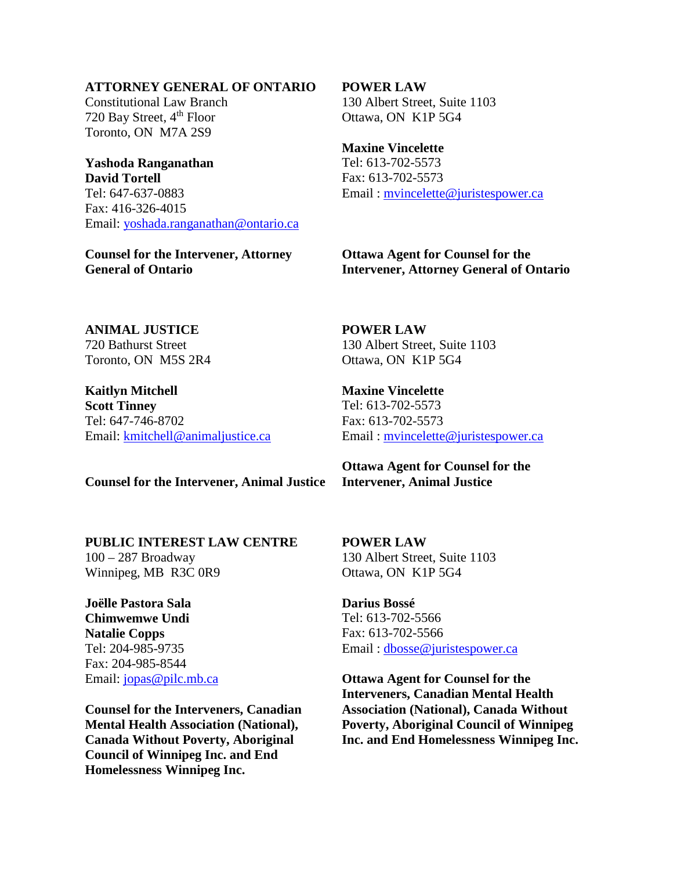## **ATTORNEY GENERAL OF ONTARIO**

Constitutional Law Branch 720 Bay Street, 4<sup>th</sup> Floor Toronto, ON M7A 2S9

**Yashoda Ranganathan David Tortell**  Tel: 647-637-0883 Fax: 416-326-4015 Email: [yoshada.ranganathan@ontario.ca](mailto:yoshada.ranganathan@ontario.ca)

**Counsel for the Intervener, Attorney General of Ontario** 

#### **POWER LAW**

130 Albert Street, Suite 1103 Ottawa, ON K1P 5G4

**Maxine Vincelette**  Tel: 613-702-5573 Fax: 613-702-5573 Email : [mvincelette@juristespower.ca](mailto:mvincelette@juristespower.ca)

**Ottawa Agent for Counsel for the Intervener, Attorney General of Ontario** 

**ANIMAL JUSTICE**  720 Bathurst Street Toronto, ON M5S 2R4

**Kaitlyn Mitchell Scott Tinney**  Tel: 647-746-8702 Email: [kmitchell@animaljustice.ca](mailto:kmitchell@animaljustice.ca) **POWER LAW**  130 Albert Street, Suite 1103 Ottawa, ON K1P 5G4

**Maxine Vincelette**  Tel: 613-702-5573 Fax: 613-702-5573 Email : [mvincelette@juristespower.ca](mailto:mvincelette@juristespower.ca)

**Counsel for the Intervener, Animal Justice** 

**PUBLIC INTEREST LAW CENTRE** 

100 – 287 Broadway Winnipeg, MB R3C 0R9

**Joëlle Pastora Sala Chimwemwe Undi Natalie Copps**  Tel: 204-985-9735 Fax: 204-985-8544 Email: [jopas@pilc.mb.ca](mailto:jopas@pilc.mb.ca)

**Counsel for the Interveners, Canadian Mental Health Association (National), Canada Without Poverty, Aboriginal Council of Winnipeg Inc. and End Homelessness Winnipeg Inc.**

**Ottawa Agent for Counsel for the Intervener, Animal Justice** 

**POWER LAW**  130 Albert Street, Suite 1103 Ottawa, ON K1P 5G4

**Darius Bossé**  Tel: 613-702-5566 Fax: 613-702-5566 Email : [dbosse@juristespower.ca](mailto:dbosse@juristespower.ca)

**Ottawa Agent for Counsel for the Interveners, Canadian Mental Health Association (National), Canada Without Poverty, Aboriginal Council of Winnipeg Inc. and End Homelessness Winnipeg Inc.**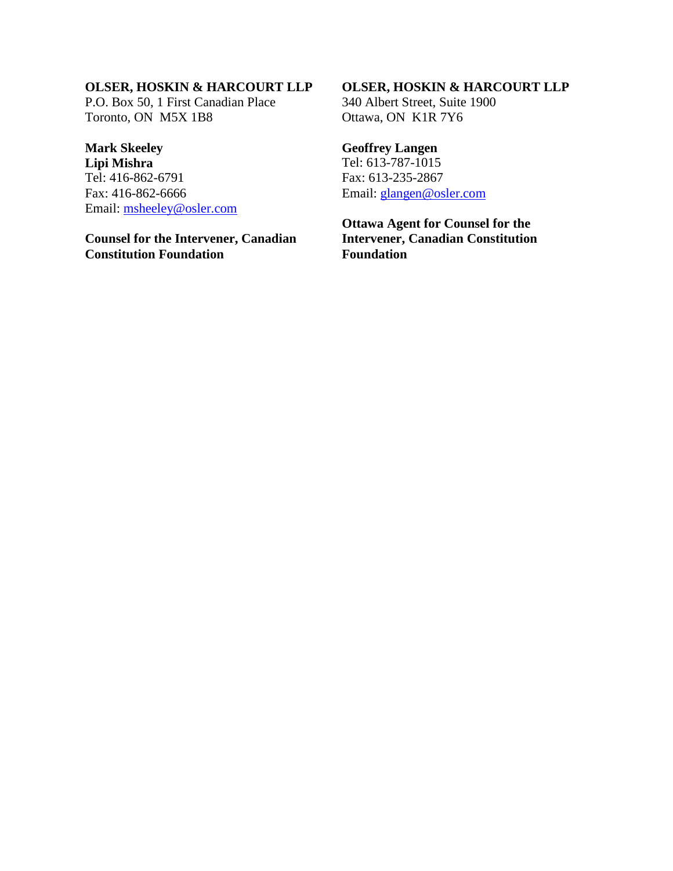# **OLSER, HOSKIN & HARCOURT LLP**

P.O. Box 50, 1 First Canadian Place Toronto, ON M5X 1B8

# **Mark Skeeley**

**Lipi Mishra**  Tel: 416-862-6791 Fax: 416-862-6666 Email: [msheeley@osler.com](mailto:msheeley@osler.com)

# **Counsel for the Intervener, Canadian Constitution Foundation**

## **OLSER, HOSKIN & HARCOURT LLP**

340 Albert Street, Suite 1900 Ottawa, ON K1R 7Y6

# **Geoffrey Langen**

Tel: 613-787-1015 Fax: 613-235-2867 Email: [glangen@osler.com](mailto:glangen@osler.com)

**Ottawa Agent for Counsel for the Intervener, Canadian Constitution Foundation**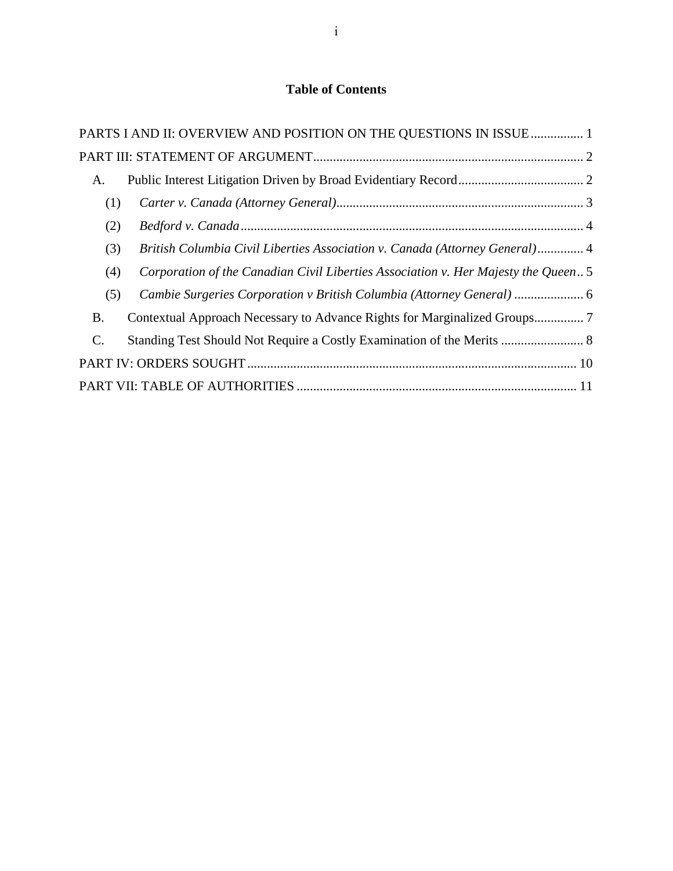# **Table of Contents**

|                | PARTS I AND II: OVERVIEW AND POSITION ON THE QUESTIONS IN ISSUE 1                  |  |  |  |
|----------------|------------------------------------------------------------------------------------|--|--|--|
|                |                                                                                    |  |  |  |
| A.             |                                                                                    |  |  |  |
| (1)            |                                                                                    |  |  |  |
| (2)            |                                                                                    |  |  |  |
| (3)            | British Columbia Civil Liberties Association v. Canada (Attorney General) 4        |  |  |  |
| (4)            | Corporation of the Canadian Civil Liberties Association v. Her Majesty the Queen 5 |  |  |  |
| (5)            |                                                                                    |  |  |  |
| <b>B.</b>      |                                                                                    |  |  |  |
| $\mathbf{C}$ . | Standing Test Should Not Require a Costly Examination of the Merits  8             |  |  |  |
|                |                                                                                    |  |  |  |
|                |                                                                                    |  |  |  |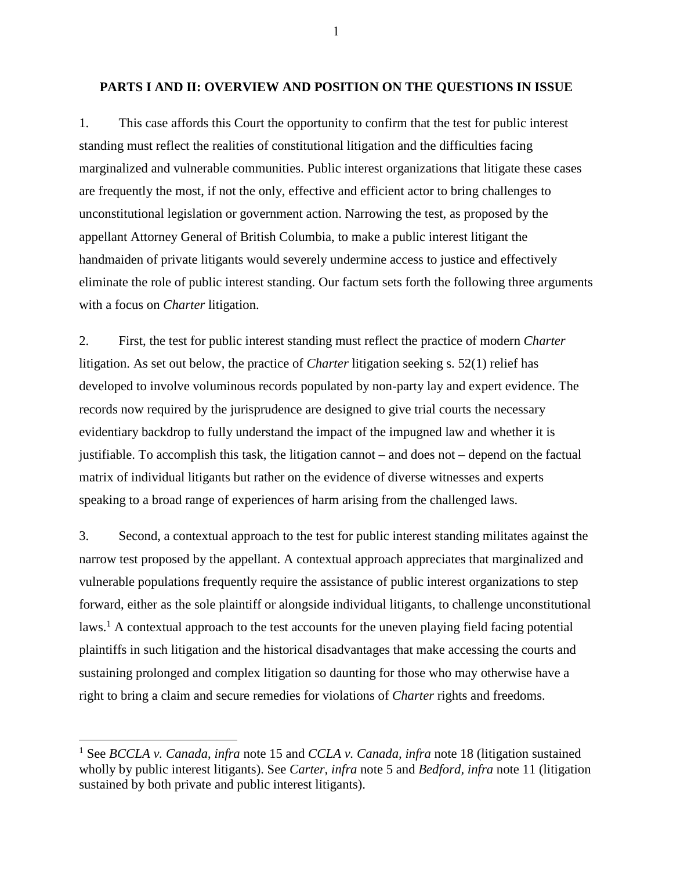#### <span id="page-11-0"></span>**PARTS I AND II: OVERVIEW AND POSITION ON THE QUESTIONS IN ISSUE**

1. This case affords this Court the opportunity to confirm that the test for public interest standing must reflect the realities of constitutional litigation and the difficulties facing marginalized and vulnerable communities. Public interest organizations that litigate these cases are frequently the most, if not the only, effective and efficient actor to bring challenges to unconstitutional legislation or government action. Narrowing the test, as proposed by the appellant Attorney General of British Columbia, to make a public interest litigant the handmaiden of private litigants would severely undermine access to justice and effectively eliminate the role of public interest standing. Our factum sets forth the following three arguments with a focus on *Charter* litigation.

2. First, the test for public interest standing must reflect the practice of modern *Charter*  litigation. As set out below, the practice of *Charter* litigation seeking s. 52(1) relief has developed to involve voluminous records populated by non-party lay and expert evidence. The records now required by the jurisprudence are designed to give trial courts the necessary evidentiary backdrop to fully understand the impact of the impugned law and whether it is justifiable. To accomplish this task, the litigation cannot – and does not – depend on the factual matrix of individual litigants but rather on the evidence of diverse witnesses and experts speaking to a broad range of experiences of harm arising from the challenged laws.

3. Second, a contextual approach to the test for public interest standing militates against the narrow test proposed by the appellant. A contextual approach appreciates that marginalized and vulnerable populations frequently require the assistance of public interest organizations to step forward, either as the sole plaintiff or alongside individual litigants, to challenge unconstitutional laws.<sup>1</sup> A contextual approach to the test accounts for the uneven playing field facing potential plaintiffs in such litigation and the historical disadvantages that make accessing the courts and sustaining prolonged and complex litigation so daunting for those who may otherwise have a right to bring a claim and secure remedies for violations of *Charter* rights and freedoms.

 $\overline{a}$ 

1

<sup>&</sup>lt;sup>1</sup> See *BCCLA v. Canada, infra* note [15](#page-15-1) and *CCLA v. Canada, infra* note [18](#page-15-2) (litigation sustained wholly by public interest litigants). See *Carter, infra* note [5](#page-13-1) and *Bedford, infra* note [11](#page-14-2) (litigation sustained by both private and public interest litigants).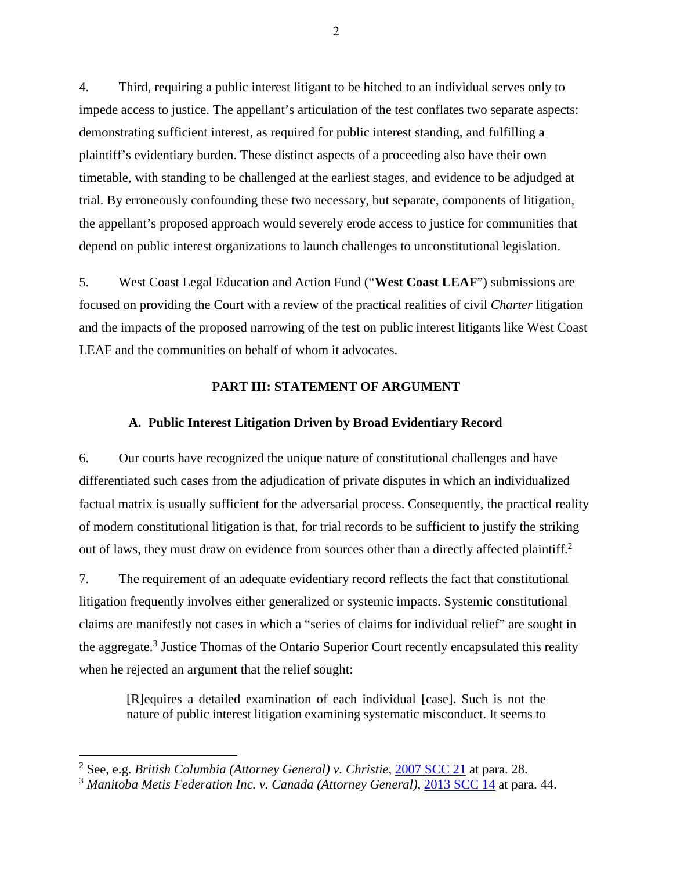4. Third, requiring a public interest litigant to be hitched to an individual serves only to impede access to justice. The appellant's articulation of the test conflates two separate aspects: demonstrating sufficient interest, as required for public interest standing, and fulfilling a plaintiff's evidentiary burden. These distinct aspects of a proceeding also have their own timetable, with standing to be challenged at the earliest stages, and evidence to be adjudged at trial. By erroneously confounding these two necessary, but separate, components of litigation, the appellant's proposed approach would severely erode access to justice for communities that depend on public interest organizations to launch challenges to unconstitutional legislation.

5. West Coast Legal Education and Action Fund ("**West Coast LEAF**") submissions are focused on providing the Court with a review of the practical realities of civil *Charter* litigation and the impacts of the proposed narrowing of the test on public interest litigants like West Coast LEAF and the communities on behalf of whom it advocates.

## **PART III: STATEMENT OF ARGUMENT**

#### <span id="page-12-0"></span>**A. Public Interest Litigation Driven by Broad Evidentiary Record**

<span id="page-12-1"></span>6. Our courts have recognized the unique nature of constitutional challenges and have differentiated such cases from the adjudication of private disputes in which an individualized factual matrix is usually sufficient for the adversarial process. Consequently, the practical reality of modern constitutional litigation is that, for trial records to be sufficient to justify the striking out of laws, they must draw on evidence from sources other than a directly affected plaintiff.<sup>2</sup>

7. The requirement of an adequate evidentiary record reflects the fact that constitutional litigation frequently involves either generalized or systemic impacts. Systemic constitutional claims are manifestly not cases in which a "series of claims for individual relief" are sought in the aggregate.<sup>3</sup> Justice Thomas of the Ontario Superior Court recently encapsulated this reality when he rejected an argument that the relief sought:

[R]equires a detailed examination of each individual [case]. Such is not the nature of public interest litigation examining systematic misconduct. It seems to

<sup>2</sup> See, e.g. *British Columbia (Attorney General) v. Christie*, [2007 SCC 21](https://canlii.ca/t/1rkdb) at para. 28.

<sup>3</sup> *Manitoba Metis Federation Inc. v. Canada (Attorney General)*, [2013 SCC 14](https://scc-csc.lexum.com/scc-csc/scc-csc/en/item/12888/index.do?q=manitoba+metis+federation) at para. 44.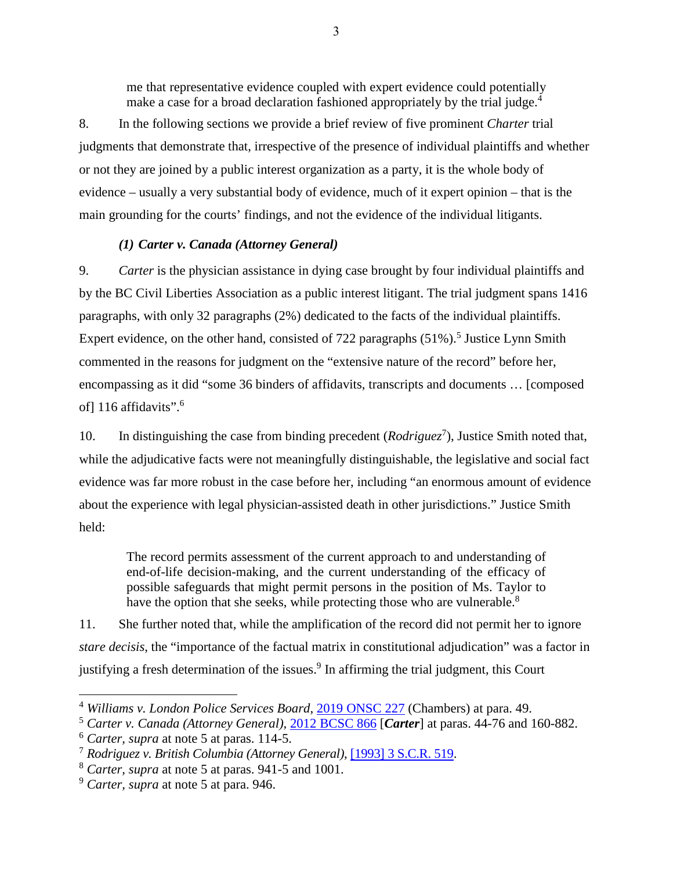me that representative evidence coupled with expert evidence could potentially make a case for a broad declaration fashioned appropriately by the trial judge.<sup>4</sup>

8. In the following sections we provide a brief review of five prominent *Charter* trial judgments that demonstrate that, irrespective of the presence of individual plaintiffs and whether or not they are joined by a public interest organization as a party, it is the whole body of evidence – usually a very substantial body of evidence, much of it expert opinion – that is the main grounding for the courts' findings, and not the evidence of the individual litigants.

# <span id="page-13-1"></span>*(1) Carter v. Canada (Attorney General)*

<span id="page-13-0"></span>9. *Carter* is the physician assistance in dying case brought by four individual plaintiffs and by the BC Civil Liberties Association as a public interest litigant. The trial judgment spans 1416 paragraphs, with only 32 paragraphs (2%) dedicated to the facts of the individual plaintiffs. Expert evidence, on the other hand, consisted of  $722$  paragraphs  $(51\%)$ <sup>5</sup> Justice Lynn Smith commented in the reasons for judgment on the "extensive nature of the record" before her, encompassing as it did "some 36 binders of affidavits, transcripts and documents … [composed of] 116 affidavits".<sup>6</sup>

10. In distinguishing the case from binding precedent (*Rodriguez*<sup>7</sup>), Justice Smith noted that, while the adjudicative facts were not meaningfully distinguishable, the legislative and social fact evidence was far more robust in the case before her, including "an enormous amount of evidence about the experience with legal physician-assisted death in other jurisdictions." Justice Smith held:

The record permits assessment of the current approach to and understanding of end-of-life decision-making, and the current understanding of the efficacy of possible safeguards that might permit persons in the position of Ms. Taylor to have the option that she seeks, while protecting those who are vulnerable.<sup>8</sup>

11. She further noted that, while the amplification of the record did not permit her to ignore *stare decisis*, the "importance of the factual matrix in constitutional adjudication" was a factor in justifying a fresh determination of the issues.<sup>9</sup> In affirming the trial judgment, this Court

<sup>4</sup> *Williams v. London Police Services Board*, [2019 ONSC 227](http://canlii.ca/t/hwxbr) (Chambers) at para. 49.

<sup>5</sup> *Carter v. Canada (Attorney General),* [2012 BCSC 866](http://canlii.ca/t/frpws) [*Carter*] at paras. 44-76 and 160-882.

<sup>6</sup> *Carter, supra* at note [5](#page-13-1) at paras. 114-5.

<sup>7</sup> *Rodriguez v. British Columbia (Attorney General)*, [\[1993\] 3 S.C.R. 519.](https://scc-csc.lexum.com/scc-csc/scc-csc/en/item/1054/index.do)

<sup>8</sup> *Carter, supra* at note [5](#page-13-1) at paras. 941-5 and 1001.

<sup>9</sup> *Carter, supra* at note [5](#page-13-1) at para. 946.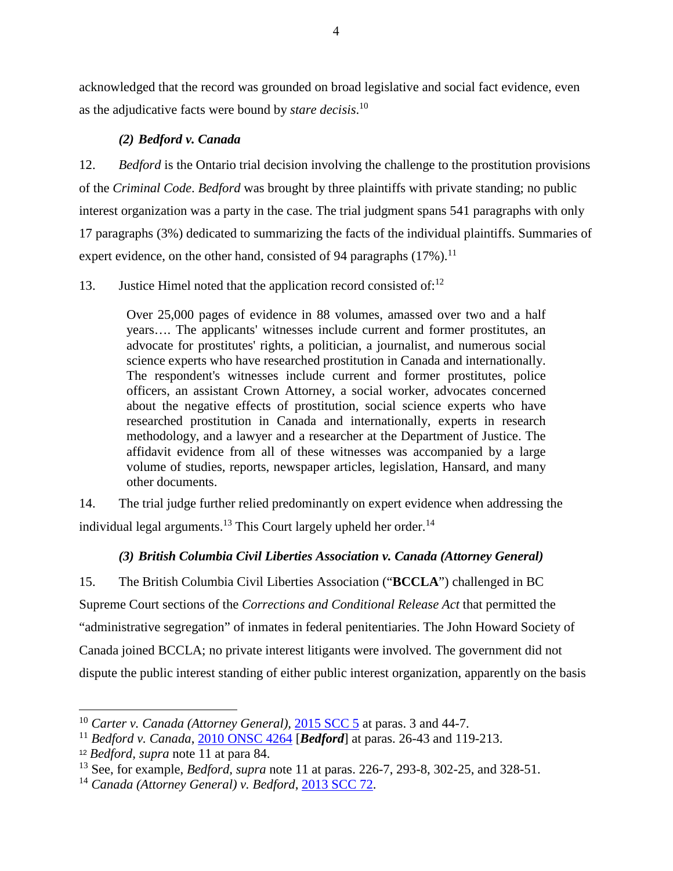acknowledged that the record was grounded on broad legislative and social fact evidence, even as the adjudicative facts were bound by *stare decisis*. 10

# *(2) Bedford v. Canada*

<span id="page-14-0"></span>12. *Bedford* is the Ontario trial decision involving the challenge to the prostitution provisions of the *Criminal Code*. *Bedford* was brought by three plaintiffs with private standing; no public interest organization was a party in the case. The trial judgment spans 541 paragraphs with only 17 paragraphs (3%) dedicated to summarizing the facts of the individual plaintiffs. Summaries of expert evidence, on the other hand, consisted of 94 paragraphs  $(17%)$ .<sup>11</sup>

# 13. Justice Himel noted that the application record consisted of: $12$

<span id="page-14-2"></span>Over 25,000 pages of evidence in 88 volumes, amassed over two and a half years…. The applicants' witnesses include current and former prostitutes, an advocate for prostitutes' rights, a politician, a journalist, and numerous social science experts who have researched prostitution in Canada and internationally. The respondent's witnesses include current and former prostitutes, police officers, an assistant Crown Attorney, a social worker, advocates concerned about the negative effects of prostitution, social science experts who have researched prostitution in Canada and internationally, experts in research methodology, and a lawyer and a researcher at the Department of Justice. The affidavit evidence from all of these witnesses was accompanied by a large volume of studies, reports, newspaper articles, legislation, Hansard, and many other documents.

14. The trial judge further relied predominantly on expert evidence when addressing the individual legal arguments.<sup>13</sup> This Court largely upheld her order.<sup>14</sup>

# *(3) British Columbia Civil Liberties Association v. Canada (Attorney General)*

<span id="page-14-1"></span>15. The British Columbia Civil Liberties Association ("**BCCLA**") challenged in BC Supreme Court sections of the *Corrections and Conditional Release Act* that permitted the "administrative segregation" of inmates in federal penitentiaries. The John Howard Society of Canada joined BCCLA; no private interest litigants were involved. The government did not dispute the public interest standing of either public interest organization, apparently on the basis

<sup>&</sup>lt;sup>10</sup> *Carter v. Canada (Attorney General),* [2015 SCC 5](https://scc-csc.lexum.com/scc-csc/scc-csc/en/item/14637/index.do?q=carter) at paras. 3 and 44-7.

<sup>11</sup> *Bedford v. Canada*, [2010 ONSC 4264](http://canlii.ca/t/2cr62) [*Bedford*] at paras. 26-43 and 119-213.

<sup>12</sup> *Bedford, supra* note [11](#page-14-2) at para 84.

<sup>13</sup> See, for example, *Bedford, supra* note [11](#page-14-2) at paras. 226-7, 293-8, 302-25, and 328-51.

<sup>14</sup> *Canada (Attorney General) v. Bedford*, [2013 SCC 72.](https://scc-csc.lexum.com/scc-csc/scc-csc/en/item/13389/index.do?q=bedford)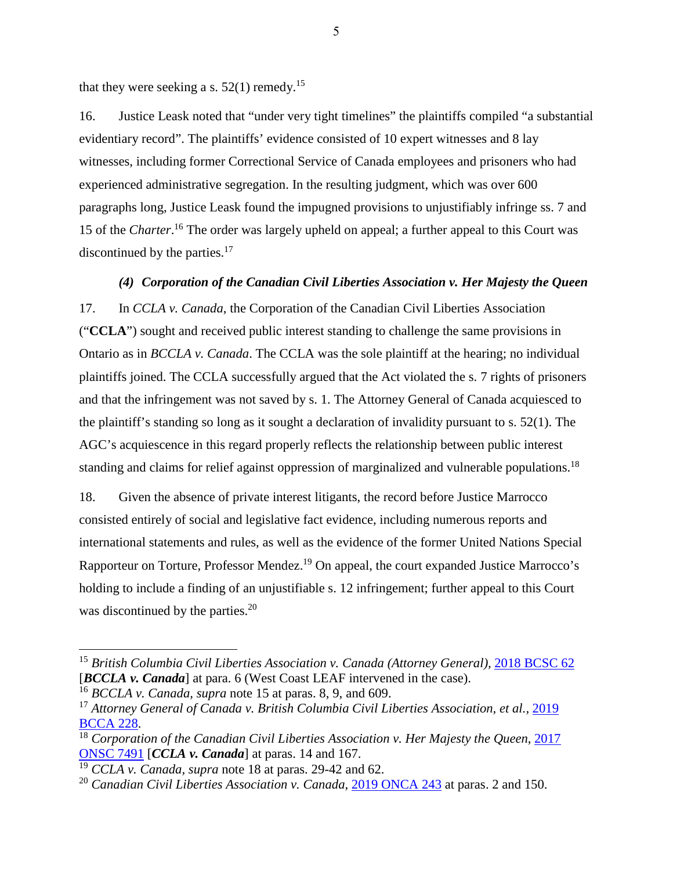<span id="page-15-1"></span>that they were seeking a s.  $52(1)$  remedy.<sup>15</sup>

16. Justice Leask noted that "under very tight timelines" the plaintiffs compiled "a substantial evidentiary record". The plaintiffs' evidence consisted of 10 expert witnesses and 8 lay witnesses, including former Correctional Service of Canada employees and prisoners who had experienced administrative segregation. In the resulting judgment, which was over 600 paragraphs long, Justice Leask found the impugned provisions to unjustifiably infringe ss. 7 and 15 of the *Charter*.<sup>16</sup> The order was largely upheld on appeal; a further appeal to this Court was discontinued by the parties.<sup>17</sup>

## <span id="page-15-2"></span><span id="page-15-0"></span>*(4) Corporation of the Canadian Civil Liberties Association v. Her Majesty the Queen*

17. In *CCLA v. Canada*, the Corporation of the Canadian Civil Liberties Association ("**CCLA**") sought and received public interest standing to challenge the same provisions in Ontario as in *BCCLA v. Canada*. The CCLA was the sole plaintiff at the hearing; no individual plaintiffs joined. The CCLA successfully argued that the Act violated the s. 7 rights of prisoners and that the infringement was not saved by s. 1. The Attorney General of Canada acquiesced to the plaintiff's standing so long as it sought a declaration of invalidity pursuant to s. 52(1). The AGC's acquiescence in this regard properly reflects the relationship between public interest standing and claims for relief against oppression of marginalized and vulnerable populations.<sup>18</sup>

18. Given the absence of private interest litigants, the record before Justice Marrocco consisted entirely of social and legislative fact evidence, including numerous reports and international statements and rules, as well as the evidence of the former United Nations Special Rapporteur on Torture, Professor Mendez.<sup>19</sup> On appeal, the court expanded Justice Marrocco's holding to include a finding of an unjustifiable s. 12 infringement; further appeal to this Court was discontinued by the parties.<sup>20</sup>

<sup>15</sup> *British Columbia Civil Liberties Association v. Canada (Attorney General),* [2018 BCSC 62](http://canlii.ca/t/hprxx) [*BCCLA v. Canada*] at para. 6 (West Coast LEAF intervened in the case).

<sup>16</sup> *BCCLA v. Canada, supra* note [15](#page-15-1) at paras. 8, 9, and 609.

<sup>17</sup> *Attorney General of Canada v. British Columbia Civil Liberties Association, et al.,* [2019](https://www.canlii.org/en/bc/bcca/doc/2019/2019bcca228/2019bcca228.html)  [BCCA 228.](https://www.canlii.org/en/bc/bcca/doc/2019/2019bcca228/2019bcca228.html)

<sup>18</sup> *Corporation of the Canadian Civil Liberties Association v. Her Majesty the Queen*, [2017](http://canlii.ca/t/hpdbx)  [ONSC 7491](http://canlii.ca/t/hpdbx) [*CCLA v. Canada*] at paras. 14 and 167.

<sup>19</sup> *CCLA v. Canada, supra* note [18](#page-15-2) at paras. 29-42 and 62.

<sup>&</sup>lt;sup>20</sup> *Canadian Civil Liberties Association v. Canada*, [2019 ONCA 243](http://canlii.ca/t/hzd3s) at paras. 2 and 150.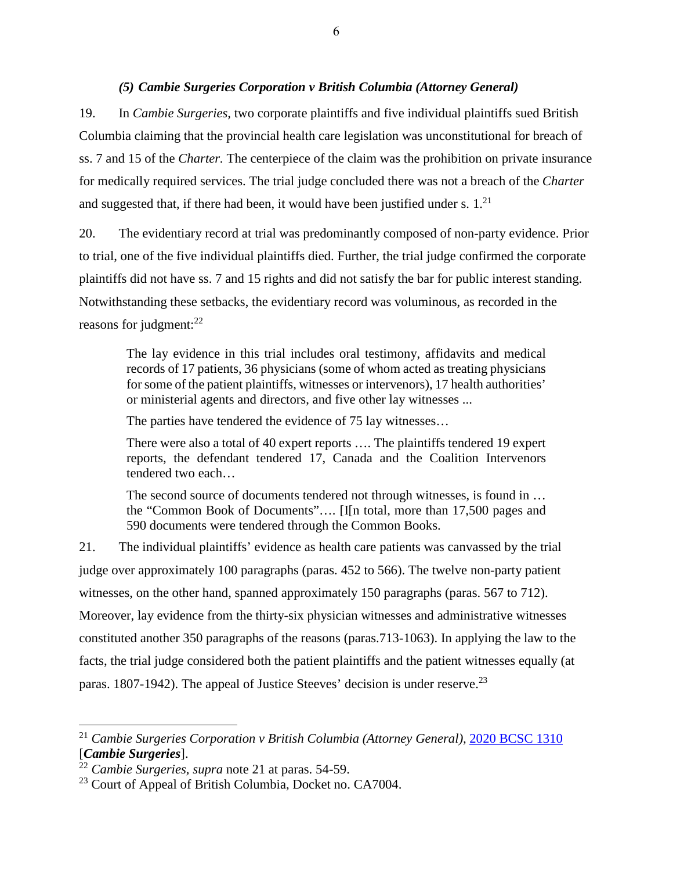## <span id="page-16-1"></span>*(5) Cambie Surgeries Corporation v British Columbia (Attorney General)*

<span id="page-16-0"></span>19. In *Cambie Surgeries,* two corporate plaintiffs and five individual plaintiffs sued British Columbia claiming that the provincial health care legislation was unconstitutional for breach of ss. 7 and 15 of the *Charter.* The centerpiece of the claim was the prohibition on private insurance for medically required services. The trial judge concluded there was not a breach of the *Charter* and suggested that, if there had been, it would have been justified under s.  $1<sup>21</sup>$ 

20. The evidentiary record at trial was predominantly composed of non-party evidence. Prior to trial, one of the five individual plaintiffs died. Further, the trial judge confirmed the corporate plaintiffs did not have ss. 7 and 15 rights and did not satisfy the bar for public interest standing. Notwithstanding these setbacks, the evidentiary record was voluminous, as recorded in the reasons for judgment: $^{22}$ 

The lay evidence in this trial includes oral testimony, affidavits and medical records of 17 patients, 36 physicians (some of whom acted as treating physicians for some of the patient plaintiffs, witnesses or intervenors), 17 health authorities' or ministerial agents and directors, and five other lay witnesses ...

The parties have tendered the evidence of 75 lay witnesses…

There were also a total of 40 expert reports …. The plaintiffs tendered 19 expert reports, the defendant tendered 17, Canada and the Coalition Intervenors tendered two each…

The second source of documents tendered not through witnesses, is found in ... the "Common Book of Documents"…. [I[n total, more than 17,500 pages and 590 documents were tendered through the Common Books.

21. The individual plaintiffs' evidence as health care patients was canvassed by the trial judge over approximately 100 paragraphs (paras. 452 to 566). The twelve non-party patient witnesses, on the other hand, spanned approximately 150 paragraphs (paras. 567 to 712). Moreover, lay evidence from the thirty-six physician witnesses and administrative witnesses constituted another 350 paragraphs of the reasons (paras.713-1063). In applying the law to the facts, the trial judge considered both the patient plaintiffs and the patient witnesses equally (at paras. 1807-1942). The appeal of Justice Steeves' decision is under reserve.<sup>23</sup>

<sup>21</sup> *Cambie Surgeries Corporation v British Columbia (Attorney General),* [2020 BCSC 1310](https://canlii.ca/t/j9kpw) [*Cambie Surgeries*].

<sup>22</sup> *Cambie Surgeries, supra* note [21](#page-16-1) at paras. 54-59.

<sup>&</sup>lt;sup>23</sup> Court of Appeal of British Columbia, Docket no. CA7004.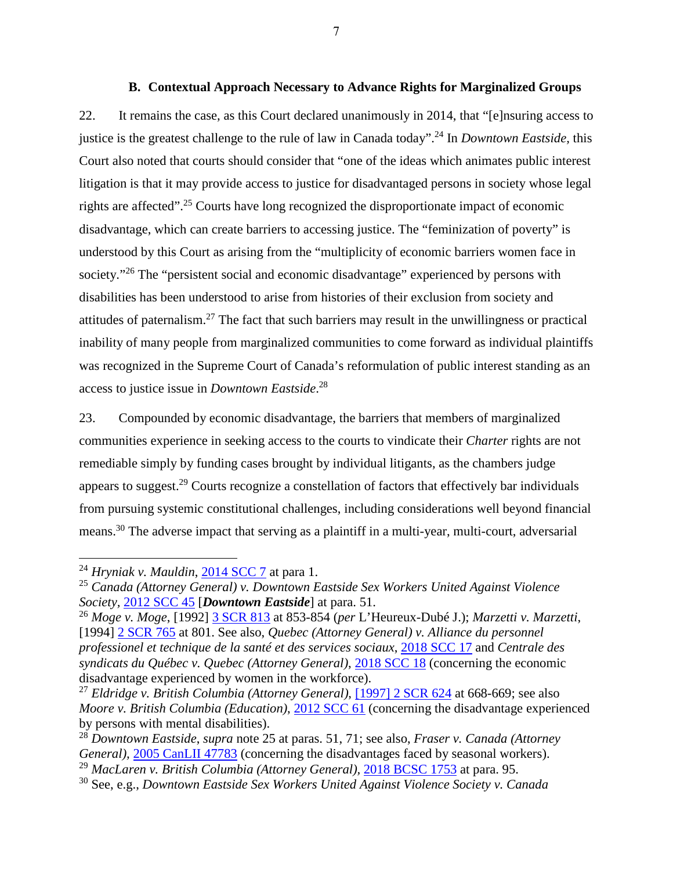#### <span id="page-17-1"></span>**B. Contextual Approach Necessary to Advance Rights for Marginalized Groups**

<span id="page-17-0"></span>22. It remains the case, as this Court declared unanimously in 2014, that "[e]nsuring access to justice is the greatest challenge to the rule of law in Canada today".<sup>24</sup> In *Downtown Eastside,* this Court also noted that courts should consider that "one of the ideas which animates public interest litigation is that it may provide access to justice for disadvantaged persons in society whose legal rights are affected".<sup>25</sup> Courts have long recognized the disproportionate impact of economic disadvantage, which can create barriers to accessing justice. The "feminization of poverty" is understood by this Court as arising from the "multiplicity of economic barriers women face in society."<sup>26</sup> The "persistent social and economic disadvantage" experienced by persons with disabilities has been understood to arise from histories of their exclusion from society and attitudes of paternalism.<sup>27</sup> The fact that such barriers may result in the unwillingness or practical inability of many people from marginalized communities to come forward as individual plaintiffs was recognized in the Supreme Court of Canada's reformulation of public interest standing as an access to justice issue in *Downtown Eastside*. 28

23. Compounded by economic disadvantage, the barriers that members of marginalized communities experience in seeking access to the courts to vindicate their *Charter* rights are not remediable simply by funding cases brought by individual litigants, as the chambers judge appears to suggest.<sup>29</sup> Courts recognize a constellation of factors that effectively bar individuals from pursuing systemic constitutional challenges, including considerations well beyond financial means.<sup>30</sup> The adverse impact that serving as a plaintiff in a multi-year, multi-court, adversarial

 $\overline{a}$ 

7

<sup>24</sup> *Hryniak v. Mauldin*, [2014 SCC 7](https://canlii.ca/t/g2s18) at para 1.

<sup>25</sup> *Canada (Attorney General) v. Downtown Eastside Sex Workers United Against Violence Society,* [2012 SCC 45](https://canlii.ca/t/fss7s) [*Downtown Eastside*] at para. 51.

<sup>26</sup> *Moge v. Moge*, [1992] [3 SCR 813](https://canlii.ca/t/1fs7v) at 853-854 (*per* L'Heureux-Dubé J.); *Marzetti v. Marzetti*, [1994] [2 SCR 765](https://canlii.ca/t/1frqh) at 801. See also, *Quebec (Attorney General) v. Alliance du personnel professionel et technique de la santé et des services sociaux*, [2018 SCC 17](https://canlii.ca/t/hrx1n) and *Centrale des syndicats du Québec v. Quebec (Attorney General)*, [2018 SCC 18](https://canlii.ca/t/hrx1q) (concerning the economic disadvantage experienced by women in the workforce).

<sup>27</sup> *Eldridge v. British Columbia (Attorney General)*, [\[1997\] 2 SCR 624](https://canlii.ca/t/1fqx5) at 668-669; see also *Moore v. British Columbia (Education)*, [2012 SCC 61](https://canlii.ca/t/ftp16) (concerning the disadvantage experienced by persons with mental disabilities).

<sup>28</sup> *Downtown Eastside*, *supra* note [25](#page-17-1) at paras. 51, 71; see also, *Fraser v. Canada (Attorney General*), [2005 CanLII 47783](https://canlii.ca/t/1m83j) (concerning the disadvantages faced by seasonal workers). <sup>29</sup> *MacLaren v. British Columbia (Attorney General), [2018 BCSC 1753](https://canlii.ca/t/hvjf5) at para. 95.* 

<sup>30</sup> See, e.g., *Downtown Eastside Sex Workers United Against Violence Society v. Canada*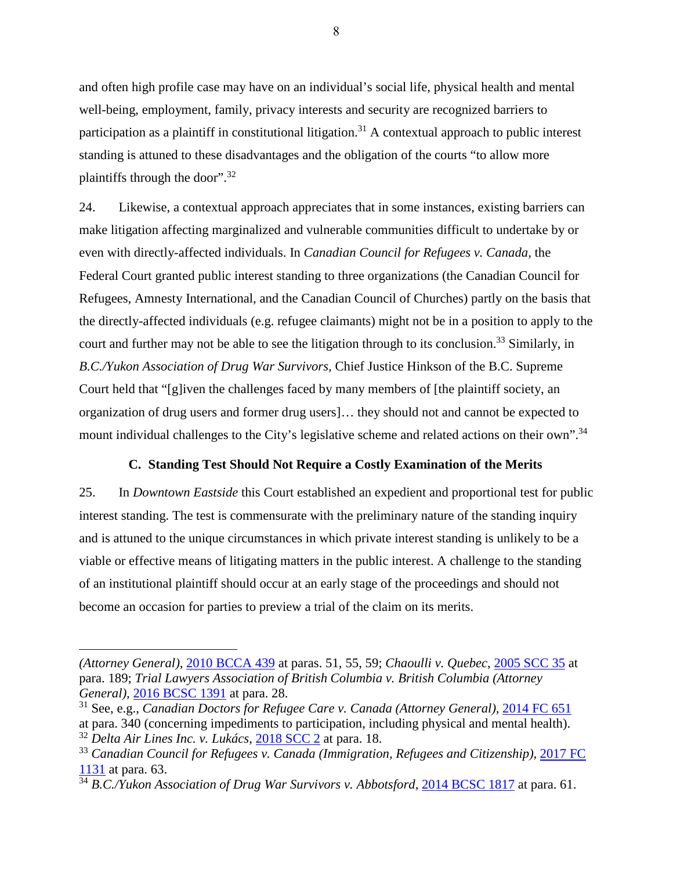and often high profile case may have on an individual's social life, physical health and mental well-being, employment, family, privacy interests and security are recognized barriers to participation as a plaintiff in constitutional litigation.<sup>31</sup> A contextual approach to public interest standing is attuned to these disadvantages and the obligation of the courts "to allow more plaintiffs through the door".<sup>32</sup>

24. Likewise, a contextual approach appreciates that in some instances, existing barriers can make litigation affecting marginalized and vulnerable communities difficult to undertake by or even with directly-affected individuals. In *Canadian Council for Refugees v. Canada,* the Federal Court granted public interest standing to three organizations (the Canadian Council for Refugees, Amnesty International, and the Canadian Council of Churches) partly on the basis that the directly-affected individuals (e.g. refugee claimants) might not be in a position to apply to the court and further may not be able to see the litigation through to its conclusion.<sup>33</sup> Similarly, in *B.C./Yukon Association of Drug War Survivors,* Chief Justice Hinkson of the B.C. Supreme Court held that "[g]iven the challenges faced by many members of [the plaintiff society, an organization of drug users and former drug users]… they should not and cannot be expected to mount individual challenges to the City's legislative scheme and related actions on their own".<sup>34</sup>

#### **C. Standing Test Should Not Require a Costly Examination of the Merits**

<span id="page-18-0"></span>25. In *Downtown Eastside* this Court established an expedient and proportional test for public interest standing. The test is commensurate with the preliminary nature of the standing inquiry and is attuned to the unique circumstances in which private interest standing is unlikely to be a viable or effective means of litigating matters in the public interest. A challenge to the standing of an institutional plaintiff should occur at an early stage of the proceedings and should not become an occasion for parties to preview a trial of the claim on its merits.

 $\overline{a}$ 

8

*<sup>(</sup>Attorney General)*, [2010 BCCA 439](https://canlii.ca/t/2cwf0) at paras. 51, 55, 59; *Chaoulli v. Quebec*, [2005 SCC 35](https://canlii.ca/t/1kxrh) at para. 189; *Trial Lawyers Association of British Columbia v. British Columbia (Attorney General),* [2016 BCSC 1391](https://canlii.ca/t/gsp2l) at para. 28.

<sup>&</sup>lt;sup>31</sup> See, e.g., *Canadian Doctors for Refugee Care v. Canada (Attorney General), [2014 FC 651](https://canlii.ca/t/g81sg)* at para. 340 (concerning impediments to participation, including physical and mental health).

<sup>32</sup> *Delta Air Lines Inc. v. Lukács*, [2018 SCC 2](https://canlii.ca/t/hpv4d) at para. 18.

<sup>33</sup> *Canadian Council for Refugees v. Canada (Immigration, Refugees and Citizenship),* [2017 FC](https://canlii.ca/t/hpskl)  [1131](https://canlii.ca/t/hpskl) at para. 63.

<sup>&</sup>lt;sup>34</sup> B.C./Yukon Association of Drug War Survivors v. Abbotsford, [2014 BCSC 1817](https://canlii.ca/t/gds46) at para. 61.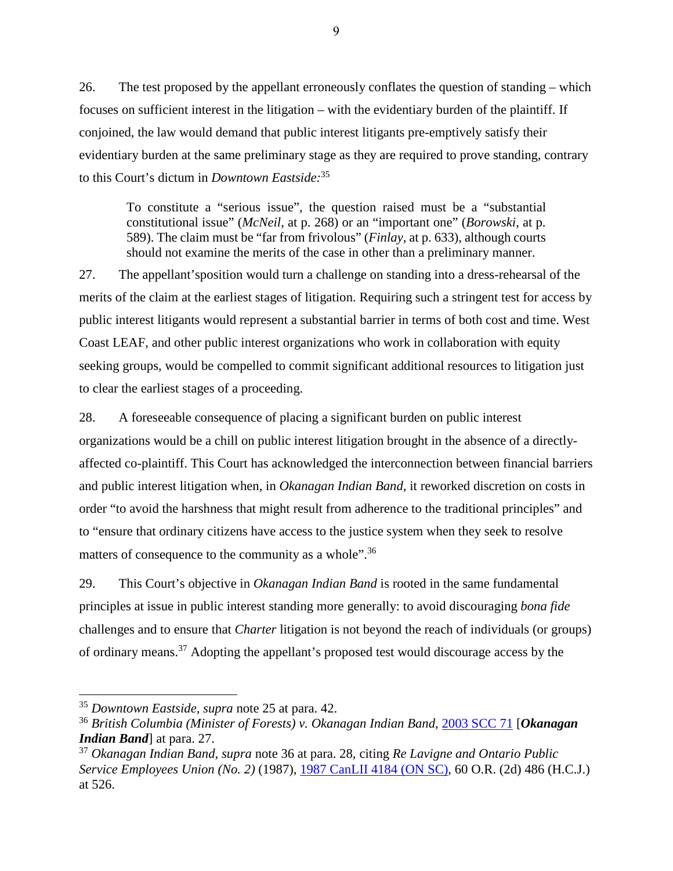26. The test proposed by the appellant erroneously conflates the question of standing – which focuses on sufficient interest in the litigation – with the evidentiary burden of the plaintiff. If conjoined, the law would demand that public interest litigants pre-emptively satisfy their evidentiary burden at the same preliminary stage as they are required to prove standing, contrary to this Court's dictum in *Downtown Eastside:*<sup>35</sup>

To constitute a "serious issue", the question raised must be a "substantial constitutional issue" (*McNeil*, at p. 268) or an "important one" (*Borowski*, at p. 589). The claim must be "far from frivolous" (*Finlay*, at p. 633), although courts should not examine the merits of the case in other than a preliminary manner.

27. The appellant'sposition would turn a challenge on standing into a dress-rehearsal of the merits of the claim at the earliest stages of litigation. Requiring such a stringent test for access by public interest litigants would represent a substantial barrier in terms of both cost and time. West Coast LEAF, and other public interest organizations who work in collaboration with equity seeking groups, would be compelled to commit significant additional resources to litigation just to clear the earliest stages of a proceeding.

28. A foreseeable consequence of placing a significant burden on public interest organizations would be a chill on public interest litigation brought in the absence of a directlyaffected co-plaintiff. This Court has acknowledged the interconnection between financial barriers and public interest litigation when, in *Okanagan Indian Band,* it reworked discretion on costs in order "to avoid the harshness that might result from adherence to the traditional principles" and to "ensure that ordinary citizens have access to the justice system when they seek to resolve matters of consequence to the community as a whole".<sup>36</sup>

<span id="page-19-0"></span>29. This Court's objective in *Okanagan Indian Band* is rooted in the same fundamental principles at issue in public interest standing more generally: to avoid discouraging *bona fide*  challenges and to ensure that *Charter* litigation is not beyond the reach of individuals (or groups) of ordinary means.<sup>37</sup> Adopting the appellant's proposed test would discourage access by the

<sup>35</sup> *Downtown Eastside, supra* note [25](#page-17-1) at para. 42.

<sup>36</sup> *British Columbia (Minister of Forests) v. Okanagan Indian Band*, [2003 SCC 71](https://canlii.ca/t/1g5kv) [*Okanagan Indian Band*] at para. 27.

<sup>37</sup> *Okanagan Indian Band, supra* note [36](#page-19-0) at para. 28, citing *Re Lavigne and Ontario Public Service Employees Union (No. 2)* (1987), [1987 CanLII 4184 \(ON SC\),](https://www.canlii.org/en/on/onsc/doc/1987/1987canlii4184/1987canlii4184.html) 60 O.R. (2d) 486 (H.C.J.) at 526.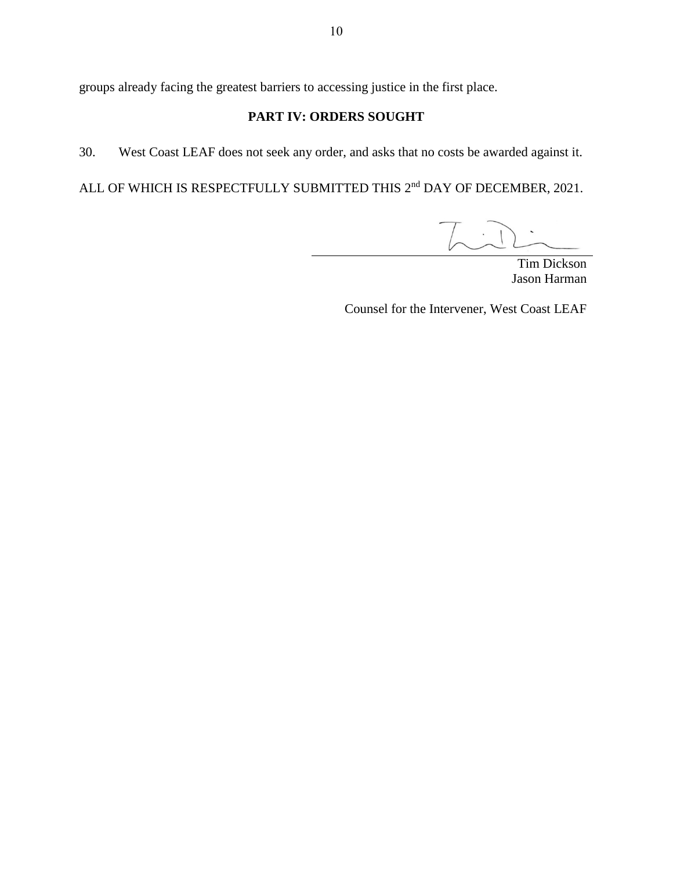<span id="page-20-0"></span>groups already facing the greatest barriers to accessing justice in the first place.

# **PART IV: ORDERS SOUGHT**

30. West Coast LEAF does not seek any order, and asks that no costs be awarded against it.

ALL OF WHICH IS RESPECTFULLY SUBMITTED THIS 2<sup>nd</sup> DAY OF DECEMBER, 2021.

Tim Dickson Jason Harman

Counsel for the Intervener, West Coast LEAF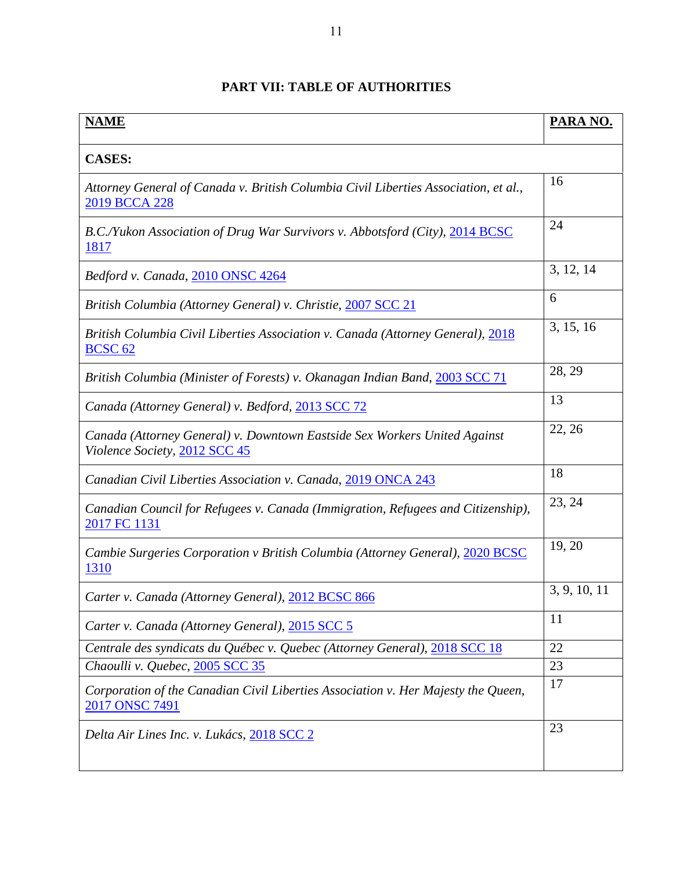# **PART VII: TABLE OF AUTHORITIES**

<span id="page-21-0"></span>

| <b>CASES:</b><br>16<br>Attorney General of Canada v. British Columbia Civil Liberties Association, et al.,<br>2019 BCCA 228<br>24<br>B.C./Yukon Association of Drug War Survivors v. Abbotsford (City), 2014 BCSC<br>1817<br>3, 12, 14<br>Bedford v. Canada, 2010 ONSC 4264<br>6<br>British Columbia (Attorney General) v. Christie, 2007 SCC 21<br>3, 15, 16<br>British Columbia Civil Liberties Association v. Canada (Attorney General), 2018<br>BCSC <sub>62</sub><br>28, 29<br>British Columbia (Minister of Forests) v. Okanagan Indian Band, 2003 SCC 71<br>13<br>Canada (Attorney General) v. Bedford, 2013 SCC 72<br>22, 26<br>Canada (Attorney General) v. Downtown Eastside Sex Workers United Against<br>Violence Society, 2012 SCC 45<br>18<br>Canadian Civil Liberties Association v. Canada, 2019 ONCA 243<br>23, 24<br>Canadian Council for Refugees v. Canada (Immigration, Refugees and Citizenship),<br>2017 FC 1131<br>19, 20<br>Cambie Surgeries Corporation v British Columbia (Attorney General), 2020 BCSC<br><u>1310</u><br>3, 9, 10, 11<br>Carter v. Canada (Attorney General), 2012 BCSC 866<br>11<br>Carter v. Canada (Attorney General), 2015 SCC 5<br>22<br>Centrale des syndicats du Québec v. Quebec (Attorney General), 2018 SCC 18<br>Chaoulli v. Quebec, 2005 SCC 35<br>23<br>17<br>Corporation of the Canadian Civil Liberties Association v. Her Majesty the Queen,<br>2017 ONSC 7491<br>23<br>Delta Air Lines Inc. v. Lukács, 2018 SCC 2 | <b>NAME</b> | PARA NO. |  |
|--------------------------------------------------------------------------------------------------------------------------------------------------------------------------------------------------------------------------------------------------------------------------------------------------------------------------------------------------------------------------------------------------------------------------------------------------------------------------------------------------------------------------------------------------------------------------------------------------------------------------------------------------------------------------------------------------------------------------------------------------------------------------------------------------------------------------------------------------------------------------------------------------------------------------------------------------------------------------------------------------------------------------------------------------------------------------------------------------------------------------------------------------------------------------------------------------------------------------------------------------------------------------------------------------------------------------------------------------------------------------------------------------------------------------------------------------------------------------------|-------------|----------|--|
|                                                                                                                                                                                                                                                                                                                                                                                                                                                                                                                                                                                                                                                                                                                                                                                                                                                                                                                                                                                                                                                                                                                                                                                                                                                                                                                                                                                                                                                                                |             |          |  |
|                                                                                                                                                                                                                                                                                                                                                                                                                                                                                                                                                                                                                                                                                                                                                                                                                                                                                                                                                                                                                                                                                                                                                                                                                                                                                                                                                                                                                                                                                |             |          |  |
|                                                                                                                                                                                                                                                                                                                                                                                                                                                                                                                                                                                                                                                                                                                                                                                                                                                                                                                                                                                                                                                                                                                                                                                                                                                                                                                                                                                                                                                                                |             |          |  |
|                                                                                                                                                                                                                                                                                                                                                                                                                                                                                                                                                                                                                                                                                                                                                                                                                                                                                                                                                                                                                                                                                                                                                                                                                                                                                                                                                                                                                                                                                |             |          |  |
|                                                                                                                                                                                                                                                                                                                                                                                                                                                                                                                                                                                                                                                                                                                                                                                                                                                                                                                                                                                                                                                                                                                                                                                                                                                                                                                                                                                                                                                                                |             |          |  |
|                                                                                                                                                                                                                                                                                                                                                                                                                                                                                                                                                                                                                                                                                                                                                                                                                                                                                                                                                                                                                                                                                                                                                                                                                                                                                                                                                                                                                                                                                |             |          |  |
|                                                                                                                                                                                                                                                                                                                                                                                                                                                                                                                                                                                                                                                                                                                                                                                                                                                                                                                                                                                                                                                                                                                                                                                                                                                                                                                                                                                                                                                                                |             |          |  |
|                                                                                                                                                                                                                                                                                                                                                                                                                                                                                                                                                                                                                                                                                                                                                                                                                                                                                                                                                                                                                                                                                                                                                                                                                                                                                                                                                                                                                                                                                |             |          |  |
|                                                                                                                                                                                                                                                                                                                                                                                                                                                                                                                                                                                                                                                                                                                                                                                                                                                                                                                                                                                                                                                                                                                                                                                                                                                                                                                                                                                                                                                                                |             |          |  |
|                                                                                                                                                                                                                                                                                                                                                                                                                                                                                                                                                                                                                                                                                                                                                                                                                                                                                                                                                                                                                                                                                                                                                                                                                                                                                                                                                                                                                                                                                |             |          |  |
|                                                                                                                                                                                                                                                                                                                                                                                                                                                                                                                                                                                                                                                                                                                                                                                                                                                                                                                                                                                                                                                                                                                                                                                                                                                                                                                                                                                                                                                                                |             |          |  |
|                                                                                                                                                                                                                                                                                                                                                                                                                                                                                                                                                                                                                                                                                                                                                                                                                                                                                                                                                                                                                                                                                                                                                                                                                                                                                                                                                                                                                                                                                |             |          |  |
|                                                                                                                                                                                                                                                                                                                                                                                                                                                                                                                                                                                                                                                                                                                                                                                                                                                                                                                                                                                                                                                                                                                                                                                                                                                                                                                                                                                                                                                                                |             |          |  |
|                                                                                                                                                                                                                                                                                                                                                                                                                                                                                                                                                                                                                                                                                                                                                                                                                                                                                                                                                                                                                                                                                                                                                                                                                                                                                                                                                                                                                                                                                |             |          |  |
|                                                                                                                                                                                                                                                                                                                                                                                                                                                                                                                                                                                                                                                                                                                                                                                                                                                                                                                                                                                                                                                                                                                                                                                                                                                                                                                                                                                                                                                                                |             |          |  |
|                                                                                                                                                                                                                                                                                                                                                                                                                                                                                                                                                                                                                                                                                                                                                                                                                                                                                                                                                                                                                                                                                                                                                                                                                                                                                                                                                                                                                                                                                |             |          |  |
|                                                                                                                                                                                                                                                                                                                                                                                                                                                                                                                                                                                                                                                                                                                                                                                                                                                                                                                                                                                                                                                                                                                                                                                                                                                                                                                                                                                                                                                                                |             |          |  |
|                                                                                                                                                                                                                                                                                                                                                                                                                                                                                                                                                                                                                                                                                                                                                                                                                                                                                                                                                                                                                                                                                                                                                                                                                                                                                                                                                                                                                                                                                |             |          |  |